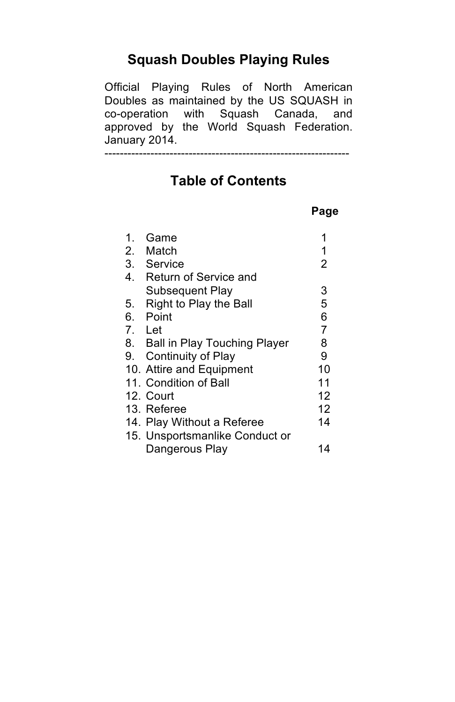## **Squash Doubles Playing Rules**

Official Playing Rules of North American Doubles as maintained by the US SQUASH in co-operation with Squash Canada, and approved by the World Squash Federation. January 2014.

----------------------------------------------------------------

# **Table of Contents**

#### **Page**

| $\mathbf 1$ | Game                            | 1              |
|-------------|---------------------------------|----------------|
|             | 2. Match                        | 1              |
|             | 3. Service                      | $\overline{2}$ |
| 4.          | <b>Return of Service and</b>    |                |
|             | Subsequent Play                 | 3              |
| 5.          | Right to Play the Ball          | 5              |
|             | 6. Point                        | 6              |
|             | 7. Let                          | $\overline{7}$ |
|             | 8. Ball in Play Touching Player | 8              |
|             | 9. Continuity of Play           | 9              |
|             | 10. Attire and Equipment        | 10             |
|             | 11. Condition of Ball           | 11             |
|             | 12. Court                       | 12             |
|             | 13. Referee                     | 12             |
|             | 14. Play Without a Referee      | 14             |
|             | 15. Unsportsmanlike Conduct or  |                |
|             | Dangerous Play                  | 14             |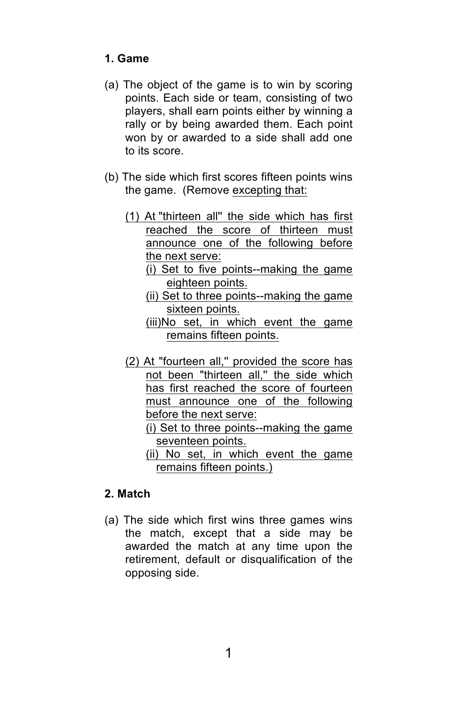#### **1. Game**

- (a) The object of the game is to win by scoring points. Each side or team, consisting of two players, shall earn points either by winning a rally or by being awarded them. Each point won by or awarded to a side shall add one to its score.
- (b) The side which first scores fifteen points wins the game. (Remove excepting that:
	- (1) At "thirteen all'' the side which has first reached the score of thirteen must announce one of the following before the next serve:
		- (i) Set to five points--making the game eighteen points.
		- (ii) Set to three points--making the game sixteen points.
		- (iii)No set, in which event the game remains fifteen points.
	- (2) At "fourteen all,'' provided the score has not been "thirteen all,'' the side which has first reached the score of fourteen must announce one of the following before the next serve:
		- (i) Set to three points--making the game seventeen points.
		- (ii) No set, in which event the game remains fifteen points.)

### **2. Match**

(a) The side which first wins three games wins the match, except that a side may be awarded the match at any time upon the retirement, default or disqualification of the opposing side.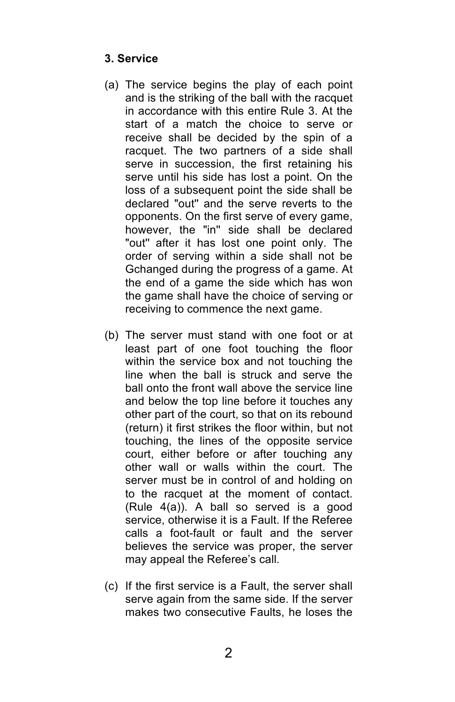#### **3. Service**

- (a) The service begins the play of each point and is the striking of the ball with the racquet in accordance with this entire Rule 3. At the start of a match the choice to serve or receive shall be decided by the spin of a racquet. The two partners of a side shall serve in succession, the first retaining his serve until his side has lost a point. On the loss of a subsequent point the side shall be declared "out'' and the serve reverts to the opponents. On the first serve of every game, however, the "in'' side shall be declared "out'' after it has lost one point only. The order of serving within a side shall not be Gchanged during the progress of a game. At the end of a game the side which has won the game shall have the choice of serving or receiving to commence the next game.
- (b) The server must stand with one foot or at least part of one foot touching the floor within the service box and not touching the line when the ball is struck and serve the ball onto the front wall above the service line and below the top line before it touches any other part of the court, so that on its rebound (return) it first strikes the floor within, but not touching, the lines of the opposite service court, either before or after touching any other wall or walls within the court. The server must be in control of and holding on to the racquet at the moment of contact. (Rule 4(a)). A ball so served is a good service, otherwise it is a Fault. If the Referee calls a foot-fault or fault and the server believes the service was proper, the server may appeal the Referee's call.
- (c) If the first service is a Fault, the server shall serve again from the same side. If the server makes two consecutive Faults, he loses the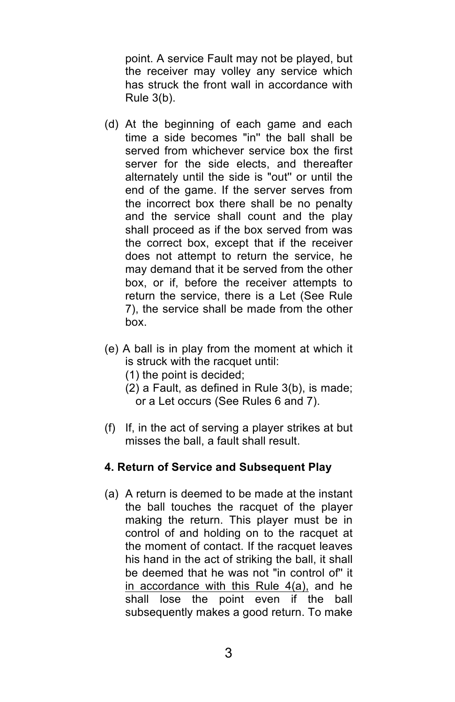point. A service Fault may not be played, but the receiver may volley any service which has struck the front wall in accordance with Rule 3(b).

- (d) At the beginning of each game and each time a side becomes "in'' the ball shall be served from whichever service box the first server for the side elects, and thereafter alternately until the side is "out'' or until the end of the game. If the server serves from the incorrect box there shall be no penalty and the service shall count and the play shall proceed as if the box served from was the correct box, except that if the receiver does not attempt to return the service, he may demand that it be served from the other box, or if, before the receiver attempts to return the service, there is a Let (See Rule 7), the service shall be made from the other box.
- (e) A ball is in play from the moment at which it is struck with the racquet until:
	- (1) the point is decided;
	- (2) a Fault, as defined in Rule 3(b), is made; or a Let occurs (See Rules 6 and 7).
- (f) If, in the act of serving a player strikes at but misses the ball, a fault shall result.

#### **4. Return of Service and Subsequent Play**

(a) A return is deemed to be made at the instant the ball touches the racquet of the player making the return. This player must be in control of and holding on to the racquet at the moment of contact. If the racquet leaves his hand in the act of striking the ball, it shall be deemed that he was not "in control of'' it in accordance with this Rule 4(a), and he shall lose the point even if the ball subsequently makes a good return. To make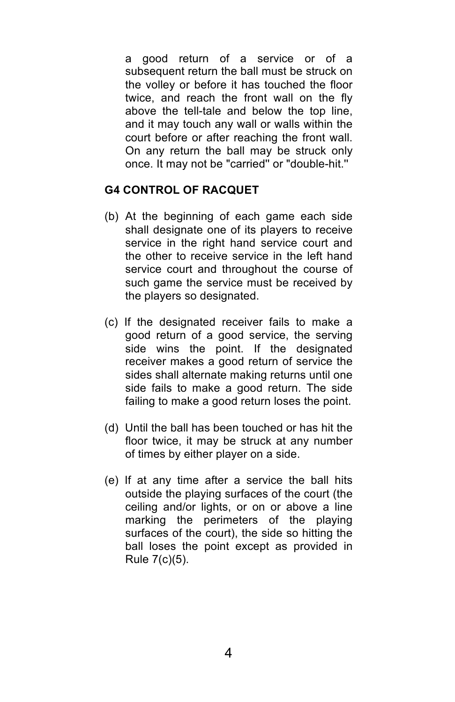a good return of a service or of a subsequent return the ball must be struck on the volley or before it has touched the floor twice, and reach the front wall on the fly above the tell-tale and below the top line, and it may touch any wall or walls within the court before or after reaching the front wall. On any return the ball may be struck only once. It may not be "carried'' or "double-hit.''

#### **G4 CONTROL OF RACQUET**

- (b) At the beginning of each game each side shall designate one of its players to receive service in the right hand service court and the other to receive service in the left hand service court and throughout the course of such game the service must be received by the players so designated.
- (c) If the designated receiver fails to make a good return of a good service, the serving side wins the point. If the designated receiver makes a good return of service the sides shall alternate making returns until one side fails to make a good return. The side failing to make a good return loses the point.
- (d) Until the ball has been touched or has hit the floor twice, it may be struck at any number of times by either player on a side.
- (e) If at any time after a service the ball hits outside the playing surfaces of the court (the ceiling and/or lights, or on or above a line marking the perimeters of the playing surfaces of the court), the side so hitting the ball loses the point except as provided in Rule 7(c)(5).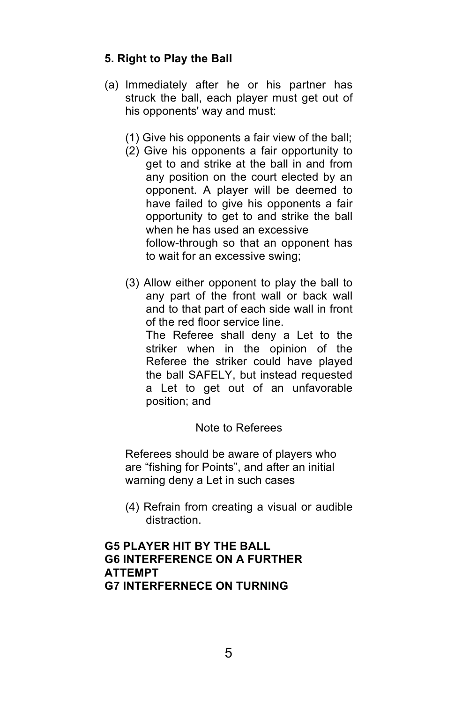#### **5. Right to Play the Ball**

- (a) Immediately after he or his partner has struck the ball, each player must get out of his opponents' way and must:
	- (1) Give his opponents a fair view of the ball;
	- (2) Give his opponents a fair opportunity to get to and strike at the ball in and from any position on the court elected by an opponent. A player will be deemed to have failed to give his opponents a fair opportunity to get to and strike the ball when he has used an excessive follow-through so that an opponent has to wait for an excessive swing;
	- (3) Allow either opponent to play the ball to any part of the front wall or back wall and to that part of each side wall in front of the red floor service line. The Referee shall deny a Let to the striker when in the opinion of the Referee the striker could have played the ball SAFELY, but instead requested a Let to get out of an unfavorable

#### Note to Referees

Referees should be aware of players who are "fishing for Points", and after an initial warning deny a Let in such cases

(4) Refrain from creating a visual or audible distraction.

#### **G5 PLAYER HIT BY THE BALL G6 INTERFERENCE ON A FURTHER ATTEMPT G7 INTERFERNECE ON TURNING**

position; and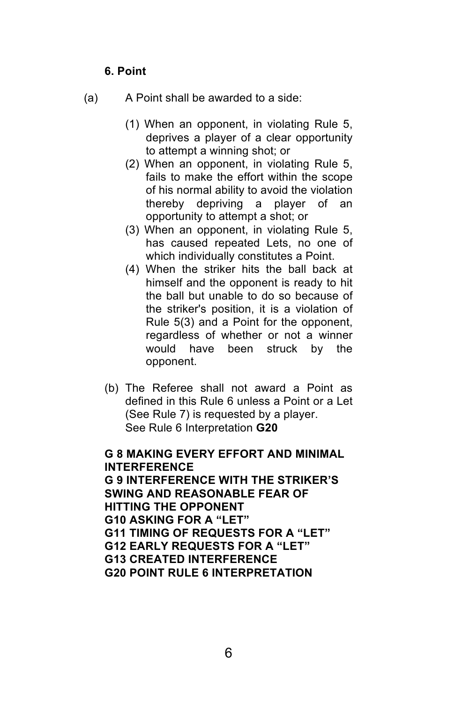#### **6. Point**

- (a) A Point shall be awarded to a side:
	- (1) When an opponent, in violating Rule 5, deprives a player of a clear opportunity to attempt a winning shot; or
	- (2) When an opponent, in violating Rule 5, fails to make the effort within the scope of his normal ability to avoid the violation thereby depriving a player of an opportunity to attempt a shot; or
	- (3) When an opponent, in violating Rule 5, has caused repeated Lets, no one of which individually constitutes a Point.
	- (4) When the striker hits the ball back at himself and the opponent is ready to hit the ball but unable to do so because of the striker's position, it is a violation of Rule 5(3) and a Point for the opponent, regardless of whether or not a winner would have been struck by the opponent.
	- (b) The Referee shall not award a Point as defined in this Rule 6 unless a Point or a Let (See Rule 7) is requested by a player. See Rule 6 Interpretation **G20**

### **G 8 MAKING EVERY EFFORT AND MINIMAL INTERFERENCE**

**G 9 INTERFERENCE WITH THE STRIKER'S SWING AND REASONABLE FEAR OF HITTING THE OPPONENT G10 ASKING FOR A "LET" G11 TIMING OF REQUESTS FOR A "LET" G12 EARLY REQUESTS FOR A "LET" G13 CREATED INTERFERENCE G20 POINT RULE 6 INTERPRETATION**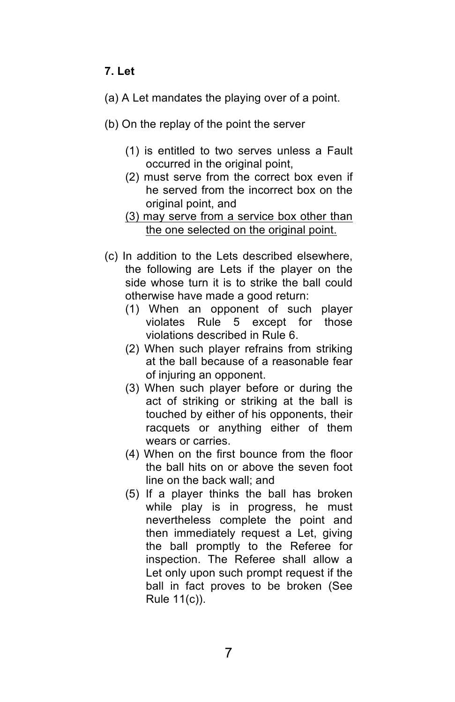### **7. Let**

- (a) A Let mandates the playing over of a point.
- (b) On the replay of the point the server
	- (1) is entitled to two serves unless a Fault occurred in the original point,
	- (2) must serve from the correct box even if he served from the incorrect box on the original point, and
	- (3) may serve from a service box other than the one selected on the original point.
- (c) In addition to the Lets described elsewhere, the following are Lets if the player on the side whose turn it is to strike the ball could otherwise have made a good return:
	- (1) When an opponent of such player violates Rule 5 except for those violations described in Rule 6.
	- (2) When such player refrains from striking at the ball because of a reasonable fear of injuring an opponent.
	- (3) When such player before or during the act of striking or striking at the ball is touched by either of his opponents, their racquets or anything either of them wears or carries.
	- (4) When on the first bounce from the floor the ball hits on or above the seven foot line on the back wall; and
	- (5) If a player thinks the ball has broken while play is in progress, he must nevertheless complete the point and then immediately request a Let, giving the ball promptly to the Referee for inspection. The Referee shall allow a Let only upon such prompt request if the ball in fact proves to be broken (See Rule 11(c)).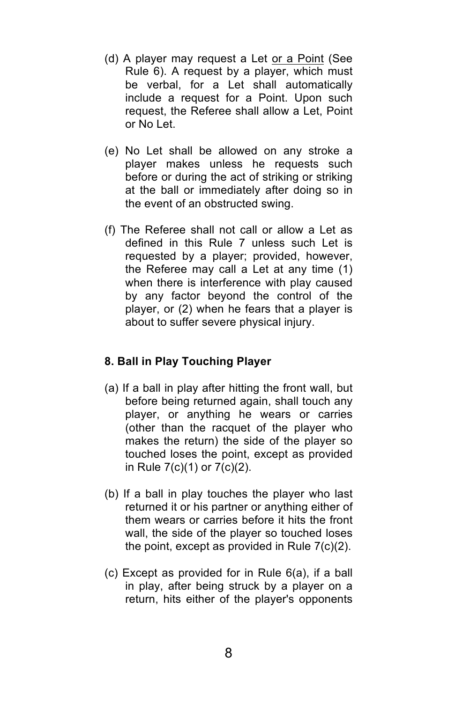- (d) A player may request a Let or a Point (See Rule 6). A request by a player, which must be verbal, for a Let shall automatically include a request for a Point. Upon such request, the Referee shall allow a Let, Point or No Let.
- (e) No Let shall be allowed on any stroke a player makes unless he requests such before or during the act of striking or striking at the ball or immediately after doing so in the event of an obstructed swing.
- (f) The Referee shall not call or allow a Let as defined in this Rule 7 unless such Let is requested by a player; provided, however, the Referee may call a Let at any time (1) when there is interference with play caused by any factor beyond the control of the player, or (2) when he fears that a player is about to suffer severe physical injury.

#### **8. Ball in Play Touching Player**

- (a) If a ball in play after hitting the front wall, but before being returned again, shall touch any player, or anything he wears or carries (other than the racquet of the player who makes the return) the side of the player so touched loses the point, except as provided in Rule 7(c)(1) or 7(c)(2).
- (b) If a ball in play touches the player who last returned it or his partner or anything either of them wears or carries before it hits the front wall, the side of the player so touched loses the point, except as provided in Rule 7(c)(2).
- (c) Except as provided for in Rule 6(a), if a ball in play, after being struck by a player on a return, hits either of the player's opponents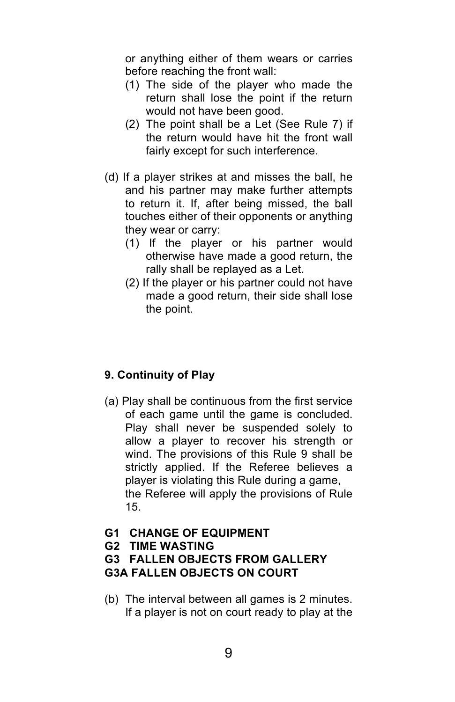or anything either of them wears or carries before reaching the front wall:

- (1) The side of the player who made the return shall lose the point if the return would not have been good.
- (2) The point shall be a Let (See Rule 7) if the return would have hit the front wall fairly except for such interference.
- (d) If a player strikes at and misses the ball, he and his partner may make further attempts to return it. If, after being missed, the ball touches either of their opponents or anything they wear or carry:
	- (1) If the player or his partner would otherwise have made a good return, the rally shall be replayed as a Let.
	- (2) If the player or his partner could not have made a good return, their side shall lose the point.

### **9. Continuity of Play**

(a) Play shall be continuous from the first service of each game until the game is concluded. Play shall never be suspended solely to allow a player to recover his strength or wind. The provisions of this Rule 9 shall be strictly applied. If the Referee believes a player is violating this Rule during a game, the Referee will apply the provisions of Rule 15.

#### **G1 CHANGE OF EQUIPMENT**

**G2 TIME WASTING**

#### **G3 FALLEN OBJECTS FROM GALLERY G3A FALLEN OBJECTS ON COURT**

(b) The interval between all games is 2 minutes. If a player is not on court ready to play at the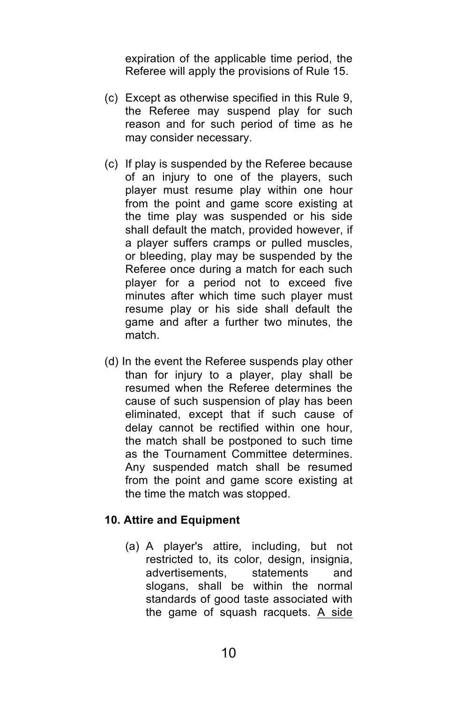expiration of the applicable time period, the Referee will apply the provisions of Rule 15.

- (c) Except as otherwise specified in this Rule 9, the Referee may suspend play for such reason and for such period of time as he may consider necessary.
- (c) If play is suspended by the Referee because of an injury to one of the players, such player must resume play within one hour from the point and game score existing at the time play was suspended or his side shall default the match, provided however, if a player suffers cramps or pulled muscles, or bleeding, play may be suspended by the Referee once during a match for each such player for a period not to exceed five minutes after which time such player must resume play or his side shall default the game and after a further two minutes, the match.
- (d) In the event the Referee suspends play other than for injury to a player, play shall be resumed when the Referee determines the cause of such suspension of play has been eliminated, except that if such cause of delay cannot be rectified within one hour, the match shall be postponed to such time as the Tournament Committee determines. Any suspended match shall be resumed from the point and game score existing at the time the match was stopped.

#### **10. Attire and Equipment**

(a) A player's attire, including, but not restricted to, its color, design, insignia, advertisements, statements and slogans, shall be within the normal standards of good taste associated with the game of squash racquets. A side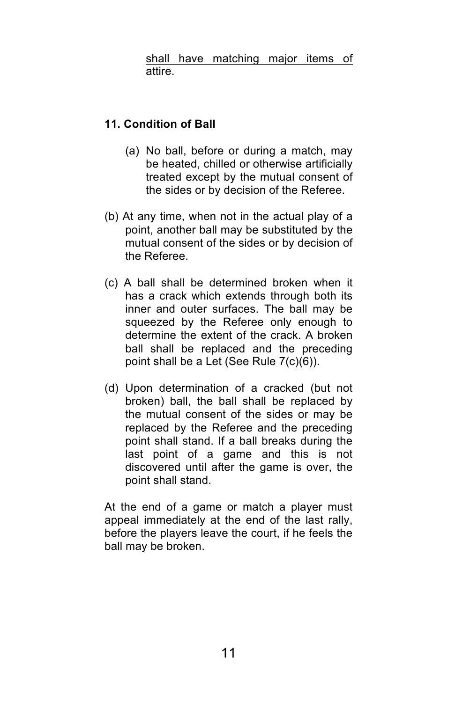shall have matching major items of attire.

#### **11. Condition of Ball**

- (a) No ball, before or during a match, may be heated, chilled or otherwise artificially treated except by the mutual consent of the sides or by decision of the Referee.
- (b) At any time, when not in the actual play of a point, another ball may be substituted by the mutual consent of the sides or by decision of the Referee.
- (c) A ball shall be determined broken when it has a crack which extends through both its inner and outer surfaces. The ball may be squeezed by the Referee only enough to determine the extent of the crack. A broken ball shall be replaced and the preceding point shall be a Let (See Rule 7(c)(6)).
- (d) Upon determination of a cracked (but not broken) ball, the ball shall be replaced by the mutual consent of the sides or may be replaced by the Referee and the preceding point shall stand. If a ball breaks during the last point of a game and this is not discovered until after the game is over, the point shall stand.

At the end of a game or match a player must appeal immediately at the end of the last rally, before the players leave the court, if he feels the ball may be broken.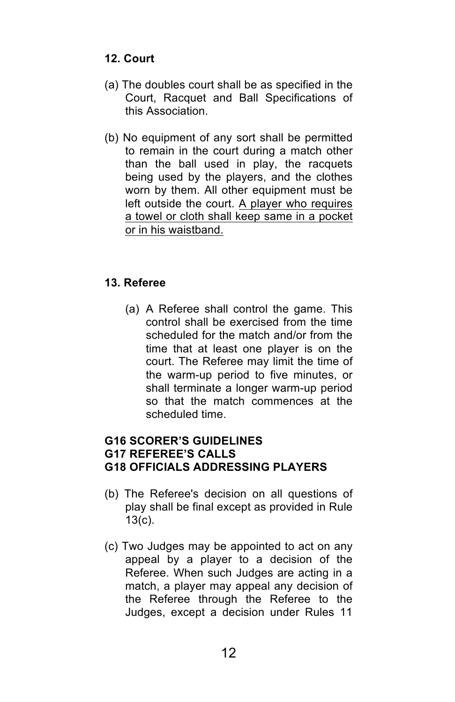#### **12. Court**

- (a) The doubles court shall be as specified in the Court, Racquet and Ball Specifications of this Association.
- (b) No equipment of any sort shall be permitted to remain in the court during a match other than the ball used in play, the racquets being used by the players, and the clothes worn by them. All other equipment must be left outside the court. A player who requires a towel or cloth shall keep same in a pocket or in his waistband.

#### **13. Referee**

(a) A Referee shall control the game. This control shall be exercised from the time scheduled for the match and/or from the time that at least one player is on the court. The Referee may limit the time of the warm-up period to five minutes, or shall terminate a longer warm-up period so that the match commences at the scheduled time.

#### **G16 SCORER'S GUIDELINES G17 REFEREE'S CALLS G18 OFFICIALS ADDRESSING PLAYERS**

- (b) The Referee's decision on all questions of play shall be final except as provided in Rule 13(c).
- (c) Two Judges may be appointed to act on any appeal by a player to a decision of the Referee. When such Judges are acting in a match, a player may appeal any decision of the Referee through the Referee to the Judges, except a decision under Rules 11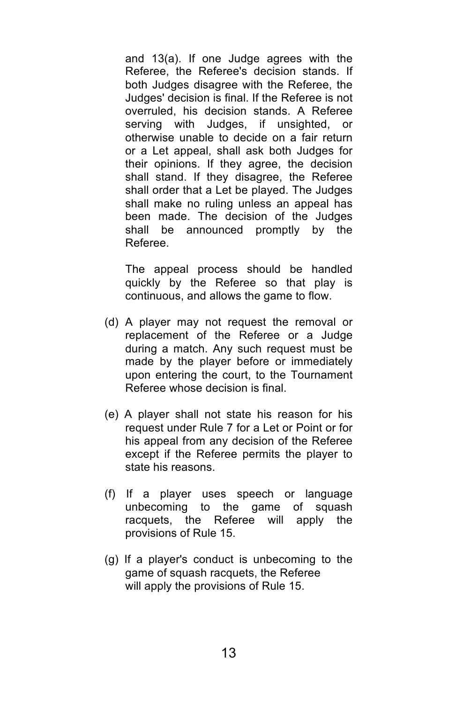and 13(a). If one Judge agrees with the Referee, the Referee's decision stands. If both Judges disagree with the Referee, the Judges' decision is final. If the Referee is not overruled, his decision stands. A Referee serving with Judges, if unsighted, or otherwise unable to decide on a fair return or a Let appeal, shall ask both Judges for their opinions. If they agree, the decision shall stand. If they disagree, the Referee shall order that a Let be played. The Judges shall make no ruling unless an appeal has been made. The decision of the Judges shall be announced promptly by the Referee.

The appeal process should be handled quickly by the Referee so that play is continuous, and allows the game to flow.

- (d) A player may not request the removal or replacement of the Referee or a Judge during a match. Any such request must be made by the player before or immediately upon entering the court, to the Tournament Referee whose decision is final.
- (e) A player shall not state his reason for his request under Rule 7 for a Let or Point or for his appeal from any decision of the Referee except if the Referee permits the player to state his reasons.
- (f) If a player uses speech or language unbecoming to the game of squash racquets, the Referee will apply the provisions of Rule 15.
- (g) If a player's conduct is unbecoming to the game of squash racquets, the Referee will apply the provisions of Rule 15.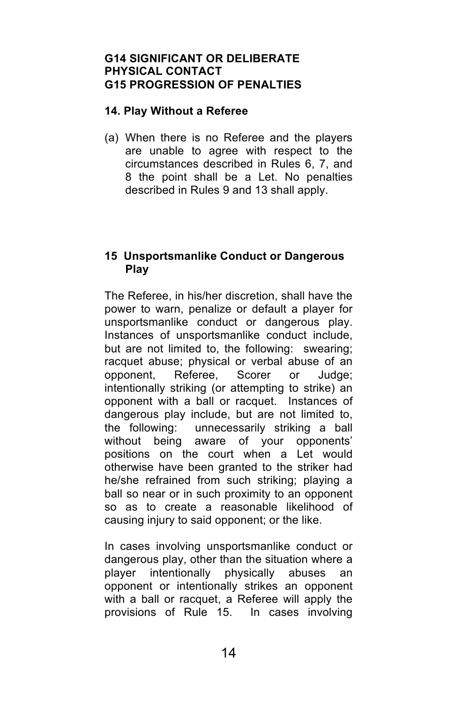#### **G14 SIGNIFICANT OR DELIBERATE PHYSICAL CONTACT G15 PROGRESSION OF PENALTIES**

#### **14. Play Without a Referee**

(a) When there is no Referee and the players are unable to agree with respect to the circumstances described in Rules 6, 7, and 8 the point shall be a Let. No penalties described in Rules 9 and 13 shall apply.

#### **15 Unsportsmanlike Conduct or Dangerous Play**

The Referee, in his/her discretion, shall have the power to warn, penalize or default a player for unsportsmanlike conduct or dangerous play. Instances of unsportsmanlike conduct include, but are not limited to, the following: swearing; racquet abuse; physical or verbal abuse of an opponent, Referee, Scorer or Judge; intentionally striking (or attempting to strike) an opponent with a ball or racquet. Instances of dangerous play include, but are not limited to, the following: unnecessarily striking a ball without being aware of your opponents' positions on the court when a Let would otherwise have been granted to the striker had he/she refrained from such striking; playing a ball so near or in such proximity to an opponent so as to create a reasonable likelihood of causing injury to said opponent; or the like.

In cases involving unsportsmanlike conduct or dangerous play, other than the situation where a player intentionally physically abuses an opponent or intentionally strikes an opponent with a ball or racquet, a Referee will apply the provisions of Rule 15. In cases involving